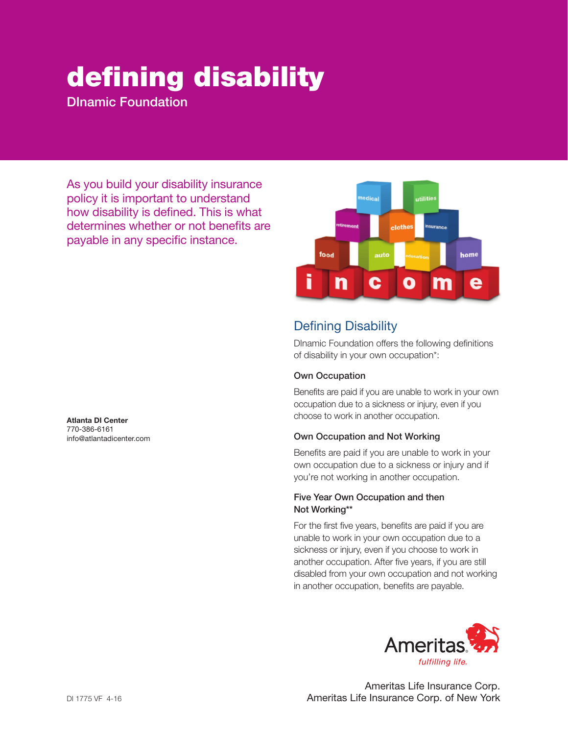# defining disability

DInamic Foundation

As you build your disability insurance policy it is important to understand how disability is defined. This is what determines whether or not benefits are payable in any specific instance.

Atlanta DI Center 770-386-6161 info@atlantadicenter.com



# Defining Disability

DInamic Foundation offers the following definitions of disability in your own occupation\*:

#### Own Occupation

Benefits are paid if you are unable to work in your own occupation due to a sickness or injury, even if you choose to work in another occupation.

#### Own Occupation and Not Working

Benefits are paid if you are unable to work in your own occupation due to a sickness or injury and if you're not working in another occupation.

#### Five Year Own Occupation and then Not Working\*\*

For the first five years, benefits are paid if you are unable to work in your own occupation due to a sickness or injury, even if you choose to work in another occupation. After five years, if you are still disabled from your own occupation and not working in another occupation, benefits are payable.



Ameritas Life Insurance Corp. Ameritas Life Insurance Corp. of New York